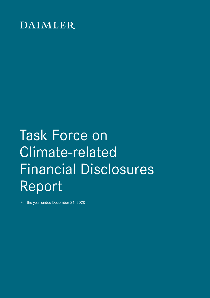## DAIMLER

# Task Force on Climate-related Financial Disclosures Report

For the year-ended December 31, 2020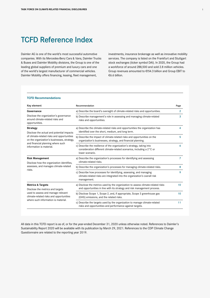Daimler AG is one of the world's most successful automotive companies. With its Mercedes-Benz Cars & Vans, Daimler Trucks & Buses and Daimler Mobility divisions, the Group is one of the leading global suppliers of premium and luxury cars and one of the world's largest manufacturer of commercial vehicles. Daimler Mobility offers financing, leasing, fleet management,

investments, insurance brokerage as well as innovative mobility services. The company is listed on the Frankfurt and Stuttgart stock exchanges (ticker symbol DAI). In 2020, the Group had a workforce of around 288,500 and sold 2.8 million vehicles. Group revenues amounted to €154.3 billion and Group EBIT to €6.6 billion.

#### **TCFD Recommendations**

| Key element                                                                                                                                                                                                                | Recommendation                                                                                                                                                     | Page           |
|----------------------------------------------------------------------------------------------------------------------------------------------------------------------------------------------------------------------------|--------------------------------------------------------------------------------------------------------------------------------------------------------------------|----------------|
| Governance                                                                                                                                                                                                                 | a) Describe the board's oversight of climate-related risks and opportunities.                                                                                      | $\overline{2}$ |
| Disclose the organization's governance<br>around climate-related risks and<br>opportunities.                                                                                                                               | b) Describe management's role in assessing and managing climate-related<br>risks and opportunities.                                                                | 3              |
| <b>Strategy</b><br>Disclose the actual and potential impacts<br>of climate-related risks and opportunities<br>on the organization's businesses, strategy,<br>and financial planning where such<br>information is material. | a) Describe the climate-related risks and opportunities the organization has<br>identified over the short, medium, and long term.                                  | 4              |
|                                                                                                                                                                                                                            | b) Describe the impact of climate-related risks and opportunities on the<br>organization's businesses, strategy, and financial planning.                           | 5              |
|                                                                                                                                                                                                                            | c) Describe the resilience of the organization's strategy, taking into<br>consideration different climate-related scenarios, including a 2°C or<br>lower scenario. | 6              |
| <b>Risk Management</b><br>Disclose how the organization identifies,<br>assesses, and manages climate-related<br>risks.                                                                                                     | a) Describe the organization's processes for identifying and assessing<br>climate-related risks.                                                                   | 7              |
|                                                                                                                                                                                                                            | b) Describe the organization's processes for managing climate-related risks.                                                                                       | 8              |
|                                                                                                                                                                                                                            | c) Describe how processes for identifying, assessing, and managing<br>climate-related risks are integrated into the organization's overall risk<br>management.     | 9              |
| <b>Metrics &amp; Targets</b>                                                                                                                                                                                               | a) Disclose the metrics used by the organization to assess climate-related risks                                                                                   | 10             |
| Disclose the metrics and targets<br>used to assess and manage relevant<br>climate-related risks and opportunities<br>where such information is material.                                                                   | and opportunities in line with its strategy and risk management process.                                                                                           |                |
|                                                                                                                                                                                                                            | b) Disclose Scope 1, Scope 2, and, if appropriate, Scope 3 greenhouse gas<br>(GHG) emissions, and the related risks.                                               | 10             |
|                                                                                                                                                                                                                            | c) Describe the targets used by the organization to manage climate-related<br>risks and opportunities and performance against targets.                             | 11             |

All data in this TCFD report is as of, or for the year-ended December 31, 2020 unless otherwise noted. References to Daimler's Sustainability Report 2020 will be available with its publication by March 29, 2021. References to the CDP Climate Change Questionnaire are related to the reporting year 2019.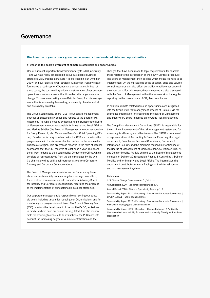### <span id="page-2-0"></span>Governance

#### **Disclose the organization's governance around climate-related risks and opportunities.**

#### a) Describe the board's oversight of climate-related risks and opportunities

One of our most important transformation targets is  $\mathrm{CO}_2^{}$  neutrality — and we have firmly embedded it in our sustainable business strategies. At Mercedes-Benz Cars it is expressed in our "Ambition 2039" and our "Electric First" strategy. At Daimler Trucks we have formulated a roadmap for  $\text{CO}_2$ -neutral transportation. In both of these cases, the sustainability-driven transformation of our business operations is so fundamental that it can be called a genuine lane change. Thus we are creating a new Daimler Group for this new age — one that is sustainably fascinating, sustainably climate-neutral, and sustainably profitable.

The Group Sustainability Board (GSB) is our central management body for all sustainability issues and reports to the Board of Management. The GSB is headed by Renata Jungo Brüngger (the Board of Management member responsible for Integrity and Legal Affairs) and Markus Schäfer (the Board of Management member responsible for Group Research; also Mercedes- Benz Cars Chief Operating Officer). Besides performing its other tasks, the GSB also monitors the progress made in the six areas of action defined in the sustainable business strategies. This progress is reported in the form of detailed scorecards that the GSB receives at least once a year. The operational work is done by the Sustainability Competence Office, which consists of representatives from the units managed by the two Co-chairs as well as additional representatives from Corporate Strategy and Corporate Communications.

The Board of Management also informs the Supervisory Board about our sustainability issues at regular meetings. In addition, there is close communication with our external Advisory Board for Integrity and Corporate Responsibility regarding the progress of the implementation of our sustainable business strategies.

Our corporate management is responsible for setting our strategic goals, including targets for reducing our  $\mathrm{CO}_2$  emissions, and for monitoring our progress toward them. The Product Steering Board (PSB) monitors the development of the car fleet's  $\mathrm{CO}_2$  emissions in markets where such emissions are regulated. It is also responsible for providing forecasts. In its evaluations, the PSB takes into account the increasing degree of vehicle electrification and the

changes that have been made to legal requirements, for example those related to the introduction of the new WLTP test procedure. The Board of Management then decides which measures need to be implemented. On the market side of the equation, price and volume control measures can also affect our ability to achieve our targets in the short term. For this reason, these measures are also discussed with the Board of Management within the framework of the regular reporting on the current state of  $\mathrm{CO}_2$  fleet compliance.

In addition, climate-related risks and opportunities are integrated into the Group-wide risk management process at Daimler. Via the segments, information for reporting to the Board of Management and Supervisory Board is passed on to Group Risk Management.

The Group Risk Management Committee (GRMC) is responsible for the continual improvement of the risk management system and for assessing its efficiency and effectiveness. The GRMC is composed of representatives of Accounting & Financial Reporting, the Legal department, Compliance, Technical Compliance, Corporate & Information Security and the members responsible for finance of the Boards of Management of Mercedes-Benz AG, Daimler Truck AG and Daimler Mobility AG; it is chaired by the Board of Management members of Daimler AG responsible Finance & Controlling / Daimler Mobility and for Integrity and Legal Affairs. The Internal Auditing department contributes material findings on the internal control and risk management system.

#### **References:**

CDP Climate Change Questionnaire: C1/ (C1.1b)

Annual Report 2020 –Non-Financial Declaration p.73

Annual Report 2020 – Risk and Opportunity Report p.115

Sustainability Report 2020 – Reporting | Sustainable Corporate Governance | SPURWECHSEL — We're changing lanes

Sustainability Report 2020 – Reporting | Sustainable Corporate Governance | How we are managing the Group sustainably

Sustainability Report 2020 – Reporting | Climate Protection & Air Quality | How we embed responsibility for more environmentally friendly vehicles in our organization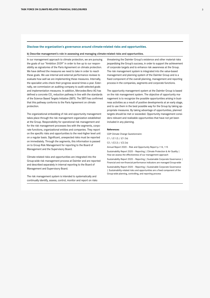#### <span id="page-3-0"></span>**Disclose the organization's governance around climate-related risks and opportunities.**

b) Describe management's role in assessing and managing climate-related risks and opportunities.

In our management approach to climate protection, we are pursuing the goals of our "Ambition 2039" in order to live up to our responsibility as signatories of the Paris Agreement on climate protection. We have defined the measures we need to take in order to reach these goals. We use internal and external performance reviews to evaluate how well we are implementing these measures. Internally, the specialist units check their progress several times a year. Externally, we commission an auditing company to audit selected goals and implementation measures. In addition, Mercedes-Benz AG has defined a concrete  $\text{CO}_2$  reduction pathway in line with the standards of the Science Based Targets Initiative (SBTI). The SBTI has confirmed that this pathway conforms to the Paris Agreement on climate protection.

The organizational embedding of risk and opportunity management takes place through the risk management organization established at the Group. Responsibility for operational risk management and for the risk management processes lies with the segments, corporate functions, organizational entities and companies. They report on the specific risks and opportunities to the next-higher level unit on a regular basis. Significant, unexpected risks must be reported on immediately. Through the segments, this information is passed on to Group Risk Management for reporting to the Board of Management and the Supervisory Board.

Climate-related risks and opportunities are integrated into the Group-wide risk management process at Daimler and are reported and described separately in internal reporting to the Board of Management and Supervisory Board.

The risk management system is intended to systematically and continually identify, assess, control, monitor and report on risks threatening the Daimler Group's existence and other material risks jeopardizing the Group's success, in order to support the achievement of corporate targets and to enhance risk awareness at the Group. The risk management system is integrated into the value-based management and planning system of the Daimler Group and is a fixed component of the overall planning, management and reporting process in the companies, segments and corporate functions.

The opportunity management system at the Daimler Group is based on the risk management system. The objective of opportunity management is to recognize the possible opportunities arising in business activities as a result of positive developments at an early stage, and to use them in the best possible way for the Group by taking appropriate measures. By taking advantage of opportunities, planned targets should be met or exceeded. Opportunity management considers relevant and realizable opportunities that have not yet been included in any planning.

#### **References:**

CDP Climate Change Questionnaire:

C1 / (C1.2) / (C1.2a) C2 / (C2.2) / (C2.2a)

Annual Report 2020 – Risk and Opportunity Report p.114, 115

Sustainability Report 2020 – Reporting | Climate Protection & Air Quality | How we assess the effectiveness of our management approach

Sustainability Report 2020 - Reporting | Sustainable Corporate Governance | Financial and non-financial performance indicators are managed Group-wide Sustainability Report 2020 – Reporting | Sustainable Corporate Governance | Sustainability-related risks and opportunities are a fixed component of the Group-wide planning, controlling, and reporting process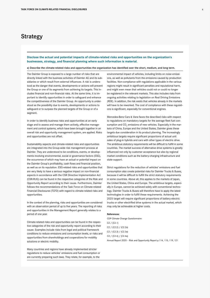## <span id="page-4-0"></span>Strategy

**Disclose the actual and potential impacts of climate-related risks and opportunities on the organization's businesses, strategy, and financial planning where such information is material.**

a) Describe the climate-related risks and opportunities the organization has identified over the short, medium, and long term.

The Daimler Group is exposed to a large number of risks that are directly linked with the business activities of Daimler AG and its subsidiaries or which result from external influences. A risk is understood as the danger that events, developments or actions will prevent the Group or one of its segments from achieving its targets. This includes financial and non-financial risks. At the same time, it is important to identify opportunities in order to safeguard and enhance the competitiveness of the Daimler Group. An opportunity is understood as the possibility due to events, developments or actions to safeguard or to surpass the planned targets of the Group or of a segment.

In order to identify business risks and opportunities at an early stage and to assess and manage them actively, effective management and control systems, which have been brought together in an overall risk and opportunity management system, are applied. Risks and opportunities are not offset.

Sustainability aspects and climate-related risks and opportunities are integrated into the Group-wide risk management process at Daimler. They are understood to be conditions, events, or developments involving environmental, social or governance factors (ESG), the occurrence of which may have an actual or potential impact on the Daimler Group's profitability, cash flows and financial position, as well as on its reputation. ESG-related risks and opportunities that are very likely to have a serious negative impact on non-financial aspects in accordance with the CSR Directive Implementation Act (CSR-RUG) can be found in the respective categories of the Risk and Opportunity Report according to their cause. Furthermore, Daimler follows the recommendations of the Task Force on Climate-related Financial Disclosures (TCFD) with regard to climate-related risks and opportunities.

In the context of the planning, risks and opportunities are considered with an observation period of up to five years. The reporting of risks and opportunities in the Management Report generally relates to a period of one year.

Climate-related risks and opportunities can be found in the respective categories of the risk and opportunity report according to their cause. Examples include risks from legal and political framework conditions to reduce emissions and consumption levels, or risks and opportunities from shareholdings and cooperations for mobility solutions or electric mobility.

Many countries and regions have already implemented stricter regulations to reduce vehicles' emissions and fuel consumption or are currently preparing such laws. They relate, for example, to the

environmental impact of vehicles, including limits on noise emissions, as well as pollutants from the emissions caused by production facilities. Non-compliance with regulations applicable in the various regions might result in significant penalties and reputational harm, and might even mean that vehicles could not or could no longer be registered in the relevant markets. This also includes risks from ongoing activities relating to legislation on Real Driving Emissions (RDE). In addition, the risk exists that vehicles already in the markets will have to be reworked. The cost of compliance with these regulations is significant, especially for conventional engines.

Mercedes-Benz Cars & Vans faces the described risks with respect to regulations on mandatory targets for the average fleet fuel consumption and  $CO_2$  emissions of new vehicles. Especially in the markets of China, Europe and the United States, Daimler gives these targets due consideration in its product planning. The increasingly ambitious targets require significant proportions of actual unit sales of plug-in hybrids and cars with other types of electric drive. The ambitious statutory requirements will be difficult to fulfill in some countries. The market success of alternative drive systems is greatly influenced not only by customer acceptance but also by regional market conditions such as the battery-charging infrastructure and state support.

Strict regulations for the reduction of vehicles' emissions and fuel consumption also create potential risks for Daimler Trucks & Buses, because it will be difficult to fulfill the strict statutory requirements in some countries. Above all, this applies to the markets of Japan, the United States, China and Europe. The ambitious targets, especially in Europe, cannot be achieved solely with conventional technology. Daimler Trucks & Buses will therefore have to apply the latest technologies in order to fulfill these requirements. Achieving the 2025 target will require significant proportions of battery-electric trucks or other electrified drive systems in the actual market, which may only be achievable at higher costs.

#### **References:**

CDP Climate Change Questionnaire: C2 / (C2.1) C2 / (C2.2) / (C2.2a) C2 / (C2.3) / (C2.3a) C2 / (C2.4) / (C2.4a) Annual Report 2020 – Risk and Opportunity Report p.114, 115, 119, 121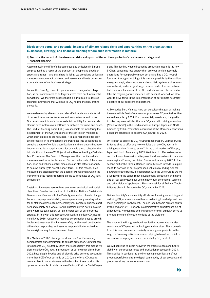#### <span id="page-5-0"></span>**Disclose the actual and potential impacts of climate-related risks and opportunities on the organization's businesses, strategy, and financial planning where such information is material.**

b) Describe the impact of climate-related risks and opportunities on the organization's businesses, strategy, and financial planning.

Approximately one fifth of all greenhouse gas emissions in Europe are produced as a result of the transport of people and goods on streets and roads — and that share is rising. We are taking deliberate measures to counteract this trend and have made climate protection a core element of our business strategy.

For us, the Paris Agreement represents more than just an obligation, as our commitment to its targets stems from our fundamental convictions. We therefore believe that it is our mission to develop technical innovations that will lead to  $\mathsf{CO}_2$ -neutral mobility around the world.

We are developing all-electric and electrified model variants for all of our vehicle models — from cars and vans to trucks and buses. Our development focus is battery-electric mobility for cars and allelectric drive systems with batteries or fuel cells for trucks and buses. The Product Steering Board (PSB) is responsible for monitoring the development of the CO<sub>2</sub> emissions of the car fleet in markets in which such emissions are regulated. It is also responsible for providing forecasts. In its evaluations, the PSB takes into account the increasing degree of vehicle electrification and the changes that have been made to legal requirements, for example those related to the introduction of the new WLTP (Worldwide Harmonized Light Vehicles Test Procedure). The Board of Management then decides which measures need to be implemented. On the market side of the equation, price and volume control measures can also affect our ability to achieve our targets over the short term. For this reason, such measures are discussed with the Board of Management within the framework of its regular reporting on the current state of  $\mathrm{CO}_2^{\phantom{\dag}}$  fleet compliance.

Sustainability means harmonizing economic, ecological and social objectives. Daimler is committed to the United Nations' Sustainable Development Goals and to the Paris Agreement on climate change. For our company, sustainability means permanently creating value for all stakeholders: customers, employees, investors, business partners and society as a whole. For us, sustainability is not an isolated area where we take action, but an integral part of our corporate strategy. In line with this approach, we work to achieve  $\mathrm{CO}_2$ -neutral mobility by 2039, reduce our resource consumption despite growth, implement measures that increase safety on the road, continue to utilize data responsibly, and assume responsibility for upholding human rights along the entire value chain.

Our "Ambition 2039" strategy for Mercedes-Benz Cars clearly demonstrates our commitment to climate protection. Our goal here is to become  $\mathrm{CO}_2$ -neutral by 2039. More specifically, this means we plan to achieve CO<sub>2</sub>-neutral production at our own car plants from 2022, have plug-in hybrids and all-electric drive systems account for more than 50% of our portfolio by 2030, and offer a CO<sub>2</sub>-neutral new car fleet to our customers within less than three product life cycles. An example of this is the new Factory 56 at the Sindelfingen

plant. This facility, whose first series-production model is the new S-Class, consumes less energy than previous vehicle assembly operations for comparable model series and has a  $\mathrm{CO}_2$ -neutral footprint. Among other things, this is made possible by the facility's energy concept, which includes a photovoltaic system, a direct-current network, and energy storage devices made of reused vehicle batteries. A holistic view of the CO<sub>2</sub>-reduction issue also needs to take the recycling of raw materials into account. After all, we also want to drive forward the implementation of our climate neutrality objective at our suppliers and partners.

At Mercedes-Benz Vans we have set ourselves the goal of making the new vehicle fleet of our vans for private use  $\mathrm{CO}_2$ -neutral for their entire life cycle by 2039. For commercially used vans, the goal is to offer only new vehicles that are  $\mathrm{CO}_2$ -neutral in driving operation ("tank-to-wheel") in the triad markets of Europe, Japan and North America by 2039. Production operations at the Mercedes-Benz Vans plants are scheduled to become  $CO_2$ -neutral by 2022.

On its path to achieving  $\mathrm{CO}_2$ -neutral transportation, Daimler Trucks & Buses aims to offer only new vehicles that are  $\mathrm{CO}_2$ -neutral in driving operation ("tank-to-wheel") in the triad markets of Europe, Japan and North America by 2039. We intend to offer series-produced trucks and buses with battery-electric drive systems in the main sales regions Europe, the United States and Japan by 2022. In the second half of the 2020s, Daimler Trucks & Buses intends to supplement its portfolio of series-produced vehicles by adding fuel cellpowered electric trucks. In cooperation with the Volvo Group we will drive forward the series-ready development, production and marketing of fuel-cell systems for use in heavy-duty commercial vehicles and other fields of application. Plans also call for all Daimler Trucks & Buses plants in Europe to be  $CO_2$ -neutral by 2022.

Daimler Mobility's sustainability efforts are focusing on avoiding and reducing CO<sub>2</sub> emissions as well as on collecting knowledge and promoting employee involvement. The aim is to become climate-neutral by the end of 2022 — not only in administrative departments but at all locations. New leasing and financing offers will explicitly serve to promote the sale of electric vehicles at the divisions.

The issue of the first green bond has further accelerated our development of CO<sub>2</sub>-neutral technologies and services. The proceeds from this bond are used exclusively to fund green projects. In this way, our financing activities are also helping to transform us into a carbon-free company and make our industry  $CO_2$ -neutral.

We will continue to invest heavily in the attractiveness and future viability of our product range and production processes in 2021. This applies in particular to the increasing electrification of our product portfolio and to the digital connectivity of our products and processes along the entire value chain.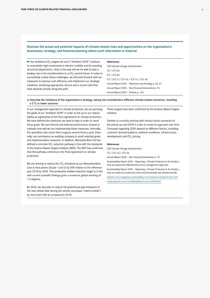#### <span id="page-6-0"></span>**Disclose the actual and potential impacts of climate-related risks and opportunities on the organization's businesses, strategy, and financial planning where such information is material.**

Our ambitious  $\mathsf{CO}_2$  targets set out in "Ambition 2039" continue to necessitate high investments in electric mobility and far-reaching structural adjustments. Only in this way will we be able to play a leading role in the transformation to a  $\mathrm{CO}_2$ -neutral future. In order to successfully master these challenges, we will push forward with our measures to improve cost efficiency and implement our strategic initiatives. Achieving appropriate returns and a sound cash flow have absolute priority along this path.

#### **References:**

CDP Climate Change Questionnaire: C2 / (C2.3a) C2 / (C2.4a) C3 / (C3.1) / (C3.1a) / (C3.1c) / (C3.1d) Annual Report 2020 – Objectives and Strategy p. 26, 27 Annual Report 2020 – Non-Financial Declaration p. 76 Annual Report 2020 – Outlook p. 134

#### c) Describe the resilience of the organization's strategy, taking into consideration different climate-related scenarios, including a 2°C or lower scenario.

In our management approach to climate protection, we are pursuing the goals of our "Ambition 2039" in order to live up to our responsibility as signatories of the Paris Agreement on climate protection. We have defined the measures we need to take in order to reach these goals. We use internal and external performance reviews to evaluate how well we are implementing these measures. Internally, the specialist units check their progress several times a year. Externally, we commission an auditing company to audit selected goals and implementation measures. In addition, Mercedes-Benz AG has defined a concrete  $\text{CO}_2$  reduction pathway in line with the standards of the Science Based Targets Initiative (SBTI). The SBTI has confirmed that this pathway conforms to the Paris Agreement on climate protection.

We are striving to reduce the CO<sub>2</sub> emissions at our Mercedes-Benz Cars & Vans plants (Scope 1 and 2) by 50% relative to the reference year 2018 by 2030. This production-related reduction target is in line with current scientific findings given a maximum global warming of 1.5 degrees.

By 2030, we also plan to reduce the greenhouse gas emissions of the new vehicle fleet during the vehicle use phase ("well-to-wheel") by more than 40% as compared to 2018.

These targets have been confirmed by the Science Based Targets Initiative.

Daimler is currently working with various future scenarios for the period up until 2039 in order to model its approach over time. Forecasts regarding 2039 depend on different factors, including customer demand patterns, political conditions, infrastructure development, and  $CO<sub>2</sub>$  pricing.

#### **References:**

CDP Climate Change Questionnaire:

C3 / (C3.1a) / (C3.1b)

Annual Report 2020 – Non-Financial Declaration p. 76

Sustainability Report 2020 – Reporting | Climate Protection & Air Quality | How we assess the effectiveness of our management approach

Sustainability Report 2020 – Reporting | Climate Protection & Air Quality | How we make our production more environmentally and climate-friendly

[daimler.com/magazine/sustainability/co2-emissions-footprint-zero.html](https://www.daimler.com/magazine/sustainability/co2-emissions-footprint-zero.html) [media.daimler.com/marsMediaSite/ko/en/44955263](https://media.daimler.com/marsMediaSite/ko/en/44955263)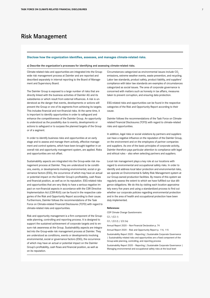## <span id="page-7-0"></span>Risk Management

#### **Disclose how the organization identifies, assesses, and manages climate-related risks.**

a) Describe the organization's processes for identifying and assessing climate-related risks.

Climate-related risks and opportunities are integrated into the Groupwide risk management process at Daimler and are reported and described separately in internal reporting to the Board of Management and Supervisory Board.

The Daimler Group is exposed to a large number of risks that are directly linked with the business activities of Daimler AG and its subsidiaries or which result from external influences. A risk is understood as the danger that events, developments or actions will prevent the Group or one of its segments from achieving its targets. This includes financial and non-financial risks. At the same time, it is important to identify opportunities in order to safeguard and enhance the competitiveness of the Daimler Group. An opportunity is understood as the possibility due to events, developments or actions to safeguard or to surpass the planned targets of the Group or of a segment.

In order to identify business risks and opportunities at an early stage and to assess and manage them actively, effective management and control systems, which have been brought together in an overall risk and opportunity management system, are applied. Risks and opportunities are not offset.

Sustainability aspects are integrated into the Group-wide risk management process at Daimler. They are understood to be conditions, events, or developments involving environmental, social or governance factors (ESG), the occurrence of which may have an actual or potential impact on the Daimler Group's profitability, cash flows and financial position, as well as on its reputation. ESG-related risks and opportunities that are very likely to have a serious negative impact on non-financial aspects in accordance with the CSR Directive Implementation Act (CSR-RUG) can be found in the respective categories of the Risk and Opportunity Report according to their cause. Furthermore, Daimler follows the recommendations of the Task Force on Climate-related Financial Disclosures (TCFD) with regard to climate-related risks and opportunities.

Risk and opportunity management is a firm component of the Groupwide planning, controlling and reporting process. It is designed to support the sustained achievement of corporate targets and to ensure risk awareness at the Group. Sustainability aspects are integrated into the Group-wide risk management process at Daimler. They are understood as conditions, events or developments involving environmental, social or governance factors (ESG), the occurrence of which may have an actual or potential impact on the Daimler Group's profitability, cash flows and financial position, as well as on its reputation.

Circumstances categorized as environmental issues include CO<sub>2</sub> emissions, extreme weather events, waste prevention, and recycling. Labor law standards, product safety, product liability, and suppliers' compliance with labor law standards are examples of circumstances categorized as social issues. The area of corporate governance is concerned with matters such as honesty in tax affairs, measures taken to prevent corruption, and ensuring data protection.

ESG-related risks and opportunities can be found in the respective categories of the Risk and Opportunity Report according to their cause.

Daimler follows the recommendations of the Task Force on Climaterelated Financial Disclosures (TCFD) with regard to climate-related risks and opportunities.

In addition, legal risks or social violations by partners and suppliers can have a negative influence on the reputation of the Daimler Group, on the environment and on the employees of partner companies and suppliers. As one of the basic principles of corporate activity, Daimler therefore pays particular attention to compliance with legal and ethical rules – also when selecting partners and suppliers.

Local risk management plays a key role at our locations with regard to environmental and occupational safety risks. In order to identify and address local labor protection and environmental risks, we operate an Environmental & Safety Risk Management system at our Group-owned production facilities. By means of this system we regularly assess the extent to which we have fulfilled our due diligence obligations. We do this by visiting each location approximately every five years and using a standardized process to find out whether our corporate policies regarding environmental protection and in the area of health and occupational protection have been duly implemented.

#### **References:**

CDP Climate Change Questionnaire: C2 / (C2.1) C2 / (C2.2) / (C2.2a) Annual Report 2020 – Non-Financial Declaration p. 74 Annual Report 2020 – Risk and Opportunity Report p. 114, 115

Sustainability Report 2020 – Reporting | Sustainable Corporate Governance | Sustainability-related risks and opportunities are a fixed component of the Group-wide planning, controlling, and reporting process

Sustainability Report 2020 – Reporting | Sustainable Corporate Governance | Managing environmental and occupational safety risks at the local level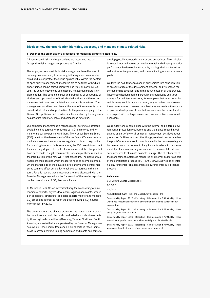#### <span id="page-8-0"></span>**Disclose how the organization identifies, assesses, and manages climate-related risks.**

b) Describe the organization's processes for managing climate-related risks.

Climate-related risks and opportunities are integrated into the Group-wide risk management process at Daimler.

The employees responsible for risk management have the task of defining measures and, if necessary, initiating such measures to avoid, reduce or protect the Group against risks. Within the context of opportunity management, measures are to be taken with which opportunities can be seized, improved and (fully or partially) realized. The cost-effectiveness of a measure is assessed before its implementation. The possible impact and probability of occurrence of all risks and opportunities of the individual entities and the related measures that have been initiated are continually monitored. The management activities take place at the level of the segments based on individual risks and opportunities. As the parent company of the Daimler Group, Daimler AG monitors implementation by the segments as part of its regulatory, legal, and compliance functions.

Our corporate management is responsible for setting our strategic goals, including targets for reducing our  $\mathrm{CO}_2$  emissions, and for monitoring our progress toward them. The Product Steering Board (PSB) monitors the development of the car fleet's  $\mathrm{CO}_2$  emissions in markets where such emissions are regulated. It is also responsible for providing forecasts. In its evaluations, the PSB takes into account the increasing degree of vehicle electrification and the changes that have been made to legal requirements, for example those related to the introduction of the new WLTP test procedure. The Board of Management then decides which measures need to be implemented. On the market side of the equation, price and volume control measures can also affect our ability to achieve our targets in the short term. For this reason, these measures are also discussed with the Board of Management within the framework of the regular reporting on the current state of  $\mathrm{CO}_2$  fleet compliance.

At Mercedes-Benz AG, an interdisciplinary team consisting of environmental experts, buyers, developers, logistics specialists, production specialists, strategists, and sales experts monitor and manage  $\mathrm{CO}_2$  emissions in order to reach the goal of having a  $\mathrm{CO}_2$ -neutral new-car fleet by 2039.

The environmental and climate protection measures at our production locations are controlled and coordinated across business units by three regional committees (Germany/Europe, North and South America, and Asia) that are supervised by the Board of Management as a whole. These committees enable our experts in these theme fields to create networks linking companies and plants and serve to

develop globally accepted standards and procedures. Their mission is to continuously improve our environmental and climate protection performance by developing standards, sharing tried and tested as well as innovative processes, and communicating our environmental goals.

We take the pollutant emissions of our vehicles into consideration at an early stage of the development process, and we embed the corresponding specifications in the documentation of this process. These specifications define particular characteristics and target values — for pollutant emissions, for example — that must be achieved for every vehicle model and every engine variant. We also use these target values to assess the milestones we reach in the course of product development. To do that, we compare the current status of a project with the target values and take corrective measures if necessary.

We regularly check compliance with the internal and external environmental protection requirements and the plants' reporting obligations as part of the environmental management activities at our production facilities. Among other things, we check to see whether the plants' operations are in compliance with the laws regarding airborne emissions. In the event of any incidents relevant to environmental protection occurring, we document them and take all necessary measures to eliminate possible damage. The effectiveness of the management systems is monitored by external auditors as part of the certification process (ISO 14001, EMAS), as well as by internal environmental risk assessments (environmental due diligence process).

#### **References:**

CDP Climate Change Questionnaire:

C2 / (C2.1)

C2 / (C2.2)

Annual Report 2020 – Risk and Opportunity Report p. 115

Sustainability Report 2020 – Reporting | Climate Action & Air Quality | How we embed responsibility for more environmentally friendly vehicles in our organization

Sustainability Report 2020 – Reporting | Climate Action & Air Quality | Reaching  $\mathsf{CO}_2$  neutrality as a team

Sustainability Report 2020 – Reporting | Climate Action & Air Quality | How we make our production more environmentally and climate-friendly

Sustainability Report 2020 – Reporting | Climate Action & Air Quality | How we assess the effectiveness of our management approach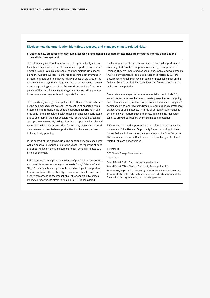#### <span id="page-9-0"></span>**Disclose how the organization identifies, assesses, and manages climate-related risks.**

#### c) Describe how processes for identifying, assessing, and managing climate-related risks are integrated into the organization's overall risk management.

The risk management system is intended to systematically and continually identify, assess, control, monitor and report on risks threatening the Daimler Group's existence and other material risks jeopardizing the Group's success, in order to support the achievement of corporate targets and to enhance risk awareness at the Group. The risk management system is integrated into the value-based management and planning system of the Daimler Group and is a fixed component of the overall planning, management and reporting process in the companies, segments and corporate functions.

The opportunity management system at the Daimler Group is based on the risk management system. The objective of opportunity management is to recognize the possible opportunities arising in business activities as a result of positive developments at an early stage, and to use them in the best possible way for the Group by taking appropriate measures. By taking advantage of opportunities, planned targets should be met or exceeded. Opportunity management considers relevant and realizable opportunities that have not yet been included in any planning.

In the context of the planning, risks and opportunities are considered with an observation period of up to five years. The reporting of risks and opportunities in the Management Report generally relates to a period of one year.

Risk assessment takes place on the basis of probability of occurrence and possible impact according to the levels "Low," "Medium" and "High." These levels also apply to the possible impact of opportunities. An analysis of the probability of occurrence is not considered here. When assessing the impact of a risk or opportunity, unless otherwise reported, its effect in relation to EBIT is considered.

Sustainability aspects and climate-related risks and opportunities are integrated into the Group-wide risk management process at Daimler. They are understood as conditions, events or developments involving environmental, social or governance factors (ESG), the occurrence of which may have an actual or potential impact on the Daimler Group's profitability, cash flows and financial position, as well as on its reputation.

Circumstances categorized as environmental issues include CO<sub>2</sub> emissions, extreme weather events, waste prevention, and recycling. Labor law standards, product safety, product liability, and suppliers' compliance with labor law standards are examples of circumstances categorized as social issues. The area of corporate governance is concerned with matters such as honesty in tax affairs, measures taken to prevent corruption, and ensuring data protection.

ESG-related risks and opportunities can be found in the respective categories of the Risk and Opportunity Report according to their cause. Daimler follows the recommendations of the Task Force on Climate-related Financial Disclosures (TCFD) with regard to climaterelated risks and opportunities.

#### **References:**

CDP Climate Change Questionnaire:

C2 / (C2.2)

Annual Report 2020 – Non-Financial Declaration p. 74

Annual Report 2020 – Risk and Opportunity Report p. 114, 115

Sustainability Report 2020 – Reporting | Sustainable Corporate Governance | Sustainability-related risks and opportunities are a fixed component of the Group-wide planning, controlling, and reporting process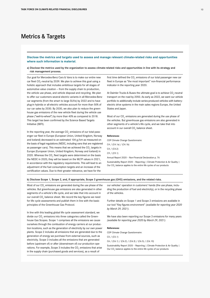## <span id="page-10-0"></span>Metrics & Targets

**Disclose the metrics and targets used to assess and manage relevant climate-related risks and opportunities where such information is material.**

a) Disclose the metrics used by the organization to assess climate-related risks and opportunities in line with its strategy and risk management process.

Our goal for Mercedes-Benz Cars & Vans is to make our entire new car fleet  $\mathrm{CO}_2$ -neutral by 2039. We plan to achieve this goal using a holistic approach that includes ambitious targets for all stages of automotive value creation — from the supply chain to production, the vehicle use phase, and vehicle disposal and recycling. We plan to offer our customers several electric variants in all Mercedes-Benz car segments (from the smart to large SUVs) by 2022 and to have plug-in hybrids or all-electric vehicles account for more than 50% of our car sales by 2030. By 2030, we also plan to reduce the greenhouse gas emissions of the new vehicle fleet during the vehicle use phase ("well-to-wheel") by more than 40% as compared to 2018. This target has been confirmed by the Science Based Targets Initiative (SBTI).

In the reporting year, the average  $\mathrm{CO}_2$  emissions of our total passenger car fleet in Europe (European Union, United Kingdom, Norway and Iceland) decreased to an estimated 104 g/km as measured on the basis of legal regulations (NEDC, including vans that are registered as passenger cars). This means that we achieved the  $\mathrm{CO}_2$  targets in Europe (European Union, United Kingdom, Norway and Iceland) in 2020. Whereas the  $\mathrm{CO}_2$  fleet targets were determined on the basis the NEDC in 2020, they will be based on the WLTP values in 2021, in accordance with the regulatory requirements. This will lead to an adjustment of the fuel consumption targets and an increase of the certification values. Due to their greater relevance, we have for the

first time defined the CO<sub>2</sub> emissions of our total passenger new car fleet in Europe as "the most important" non-financial performance indicator in the reporting year 2020.

At Daimler Trucks & Buses the ultimate goal is to achieve  $\mathsf{CO}_2$ -neutral transport on the road by 2050. As early as 2022, we want our vehicle portfolio to additionally include series-produced vehicles with batteryelectric drive systems in the main sales regions Europe, the United States and Japan.

Most of our CO<sub>2</sub> emissions are generated during the use phase of the vehicles. But greenhouse gas emissions are also generated in other segments of a vehicle's life cycle, and we take that into account in our overall  $\mathsf{CO}_2$  balance sheet.

#### **References:**

CDP Climate Change Questionnaire: C4 / (C4.1a) / (C4.1b) C4 / (C4.2) C9 / (C9.1) Annual Report 2020 – Non-Financial Declaration p. 76 Sustainability Report 2020 – Reporting | Climate Protection & Air Quality |

Our CO<sub>2</sub> balance applies to the entire life cycles of our products

b) Disclose Scope 1, Scope 2, and, if appropriate, Scope 3 greenhouse gas (GHG) emissions, and the related risks.

Most of our CO<sub>2</sub> emissions are generated during the use phase of the vehicles. But greenhouse gas emissions are also generated in other segments of a vehicle's life cycle, and we take that into account in our overall CO<sub>2</sub> balance sheet. We record the key figures we need for life cycle assessments and publish them in line with the basic principles of the Greenhouse Gas Protocol.

In line with this leading global life cycle assessment standard, we divide our CO<sub>2</sub> emissions into three categories called the Greenhouse Gas Scopes. Scope 1 comprises all the emissions we cause ourselves through the combustion of energy carriers at our production locations, such as the generation of electricity by our own power plants. Scope 2 includes all emissions that are generated due to the generation of energy we purchase from external sources, such as electricity. Scope 3 includes all the emissions that are generated before (upstream of) or after (downstream of) our production operations. For example, Scope 3 includes the  $\mathrm{CO}_2$  emissions that arise in the supply chain (purchased goods and services), as a result of

our vehicles' operation in customers' hands (the use phase, including the production of fuel and electricity), or in the recycling phase of the vehicles.

Further details on Scope 1 and Scope 2 emissions are available in our tool "Key figures environment" *(available for reporting year 2020 by March 29, 2021)*.

We have also been reporting our Scope 3 emissions for many years *(available for reporting year 2020 by March 29, 2021)*.

#### **References:**

CDP Climate Change Questionnaire: C5 / (C5.1) C6 / (C6.1) / (C6.2) / (C6.3) / (C6.5) / (C6.10) Sustainability Report 2020 - Reporting | Climate Protection & Air Quality | Our CO<sub>2</sub> balance applies to the entire life cycles of our products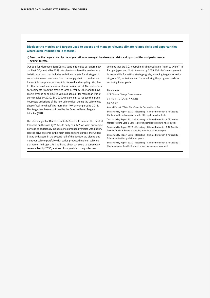#### <span id="page-11-0"></span>**Disclose the metrics and targets used to assess and manage relevant climate-related risks and opportunities where such information is material.**

#### c) Describe the targets used by the organization to manage climate-related risks and opportunities and performance against targets.

Our goal for Mercedes-Benz Cars & Vans is to make our entire new car fleet  $\mathrm{CO}_2$ -neutral by 2039. We plan to achieve this goal using a holistic approach that includes ambitious targets for all stages of automotive value creation — from the supply chain to production, the vehicle use phase, and vehicle disposal and recycling. We plan to offer our customers several electric variants in all Mercedes-Benz car segments (from the smart to large SUVs) by 2022 and to have plug-in hybrids or all-electric vehicles account for more than 50% of our car sales by 2030. By 2030, we also plan to reduce the greenhouse gas emissions of the new vehicle fleet during the vehicle use phase ("well-to-wheel") by more than 40% as compared to 2018. This target has been confirmed by the Science Based Targets Initiative (SBTI).

The ultimate goal at Daimler Trucks & Buses is to achieve  $\mathsf{CO}_2$ -neutral transport on the road by 2050. As early as 2022, we want our vehicle portfolio to additionally include series-produced vehicles with batteryelectric drive systems in the main sales regions Europe, the United States and Japan. In the second half of the decade, we plan to augment our vehicle portfolio with series-produced fuel cell vehicles that run on hydrogen. As it will take about ten years to completely renew a fleet by 2050, another of our goals is to only offer new

vehicles that are CO<sub>2</sub>-neutral in driving operation ("tank-to-wheel") in Europe, Japan and North America by 2039. Daimler's management is responsible for setting strategic goals, including targets for reducing our CO<sub>2</sub> emissions, and for monitoring the progress made in achieving these goals.

#### **References:**

CDP Climate Change Questionnaire:

C4 / (C4.1) / (C4.1a) / (C4.1b)

#### C4 / (C4.2)

Annual Report 2020 – Non-Financial Declaration p. 76

Sustainability Report 2020 - Reporting | Climate Protection & Air Quality | On the road to full compliance with  $\mathrm{CO}_2$  regulations for fleets

Sustainability Report 2020 – Reporting | Climate Protection & Air Quality | Mercedes-Benz Cars & Vans is pursuing ambitious climate-related goals

Sustainability Report 2020 – Reporting | Climate Protection & Air Quality | Daimler Trucks & Buses is pursuing ambitious climate targets

Sustainability Report 2020 – Reporting | Climate Protection & Air Quality | Climate protection goals for our plants

Sustainability Report 2020 – Reporting | Climate Protection & Air Quality | How we assess the effectiveness of our management approach